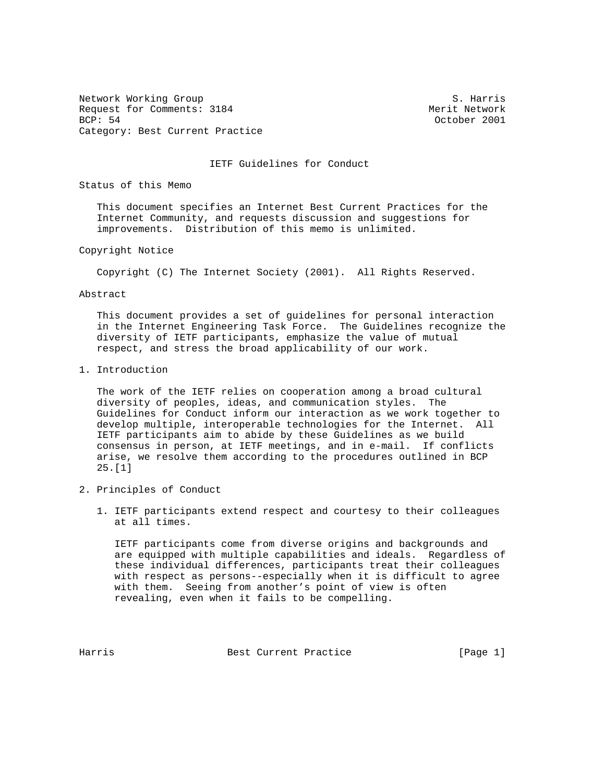Network Working Group S. Harris Request for Comments: 3184 Merit Network BCP: 54 October 2001 Category: Best Current Practice

## IETF Guidelines for Conduct

Status of this Memo

 This document specifies an Internet Best Current Practices for the Internet Community, and requests discussion and suggestions for improvements. Distribution of this memo is unlimited.

Copyright Notice

Copyright (C) The Internet Society (2001). All Rights Reserved.

Abstract

 This document provides a set of guidelines for personal interaction in the Internet Engineering Task Force. The Guidelines recognize the diversity of IETF participants, emphasize the value of mutual respect, and stress the broad applicability of our work.

1. Introduction

 The work of the IETF relies on cooperation among a broad cultural diversity of peoples, ideas, and communication styles. The Guidelines for Conduct inform our interaction as we work together to develop multiple, interoperable technologies for the Internet. All IETF participants aim to abide by these Guidelines as we build consensus in person, at IETF meetings, and in e-mail. If conflicts arise, we resolve them according to the procedures outlined in BCP 25.[1]

- 2. Principles of Conduct
	- 1. IETF participants extend respect and courtesy to their colleagues at all times.

 IETF participants come from diverse origins and backgrounds and are equipped with multiple capabilities and ideals. Regardless of these individual differences, participants treat their colleagues with respect as persons--especially when it is difficult to agree with them. Seeing from another's point of view is often revealing, even when it fails to be compelling.

Harris **Best Current Practice** [Page 1]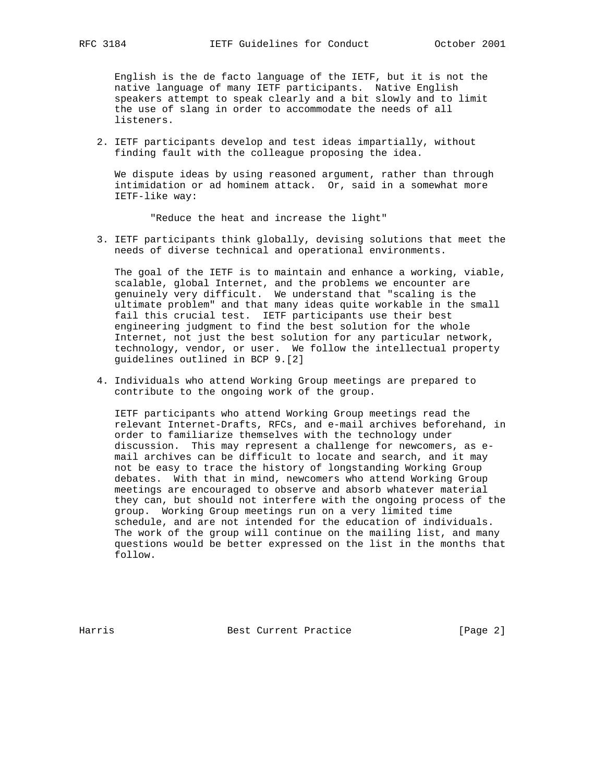English is the de facto language of the IETF, but it is not the native language of many IETF participants. Native English speakers attempt to speak clearly and a bit slowly and to limit the use of slang in order to accommodate the needs of all listeners.

 2. IETF participants develop and test ideas impartially, without finding fault with the colleague proposing the idea.

 We dispute ideas by using reasoned argument, rather than through intimidation or ad hominem attack. Or, said in a somewhat more IETF-like way:

"Reduce the heat and increase the light"

 3. IETF participants think globally, devising solutions that meet the needs of diverse technical and operational environments.

 The goal of the IETF is to maintain and enhance a working, viable, scalable, global Internet, and the problems we encounter are genuinely very difficult. We understand that "scaling is the ultimate problem" and that many ideas quite workable in the small fail this crucial test. IETF participants use their best engineering judgment to find the best solution for the whole Internet, not just the best solution for any particular network, technology, vendor, or user. We follow the intellectual property guidelines outlined in BCP 9.[2]

 4. Individuals who attend Working Group meetings are prepared to contribute to the ongoing work of the group.

 IETF participants who attend Working Group meetings read the relevant Internet-Drafts, RFCs, and e-mail archives beforehand, in order to familiarize themselves with the technology under discussion. This may represent a challenge for newcomers, as e mail archives can be difficult to locate and search, and it may not be easy to trace the history of longstanding Working Group debates. With that in mind, newcomers who attend Working Group meetings are encouraged to observe and absorb whatever material they can, but should not interfere with the ongoing process of the group. Working Group meetings run on a very limited time schedule, and are not intended for the education of individuals. The work of the group will continue on the mailing list, and many questions would be better expressed on the list in the months that follow.

Harris Best Current Practice [Page 2]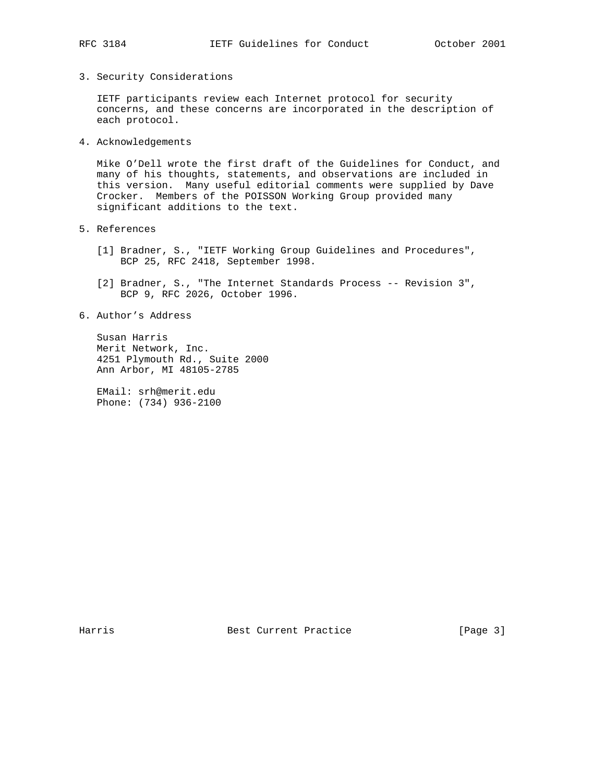- 
- 3. Security Considerations

 IETF participants review each Internet protocol for security concerns, and these concerns are incorporated in the description of each protocol.

4. Acknowledgements

 Mike O'Dell wrote the first draft of the Guidelines for Conduct, and many of his thoughts, statements, and observations are included in this version. Many useful editorial comments were supplied by Dave Crocker. Members of the POISSON Working Group provided many significant additions to the text.

- 5. References
	- [1] Bradner, S., "IETF Working Group Guidelines and Procedures", BCP 25, RFC 2418, September 1998.
	- [2] Bradner, S., "The Internet Standards Process -- Revision 3", BCP 9, RFC 2026, October 1996.
- 6. Author's Address

 Susan Harris Merit Network, Inc. 4251 Plymouth Rd., Suite 2000 Ann Arbor, MI 48105-2785

 EMail: srh@merit.edu Phone: (734) 936-2100

Harris Best Current Practice [Page 3]